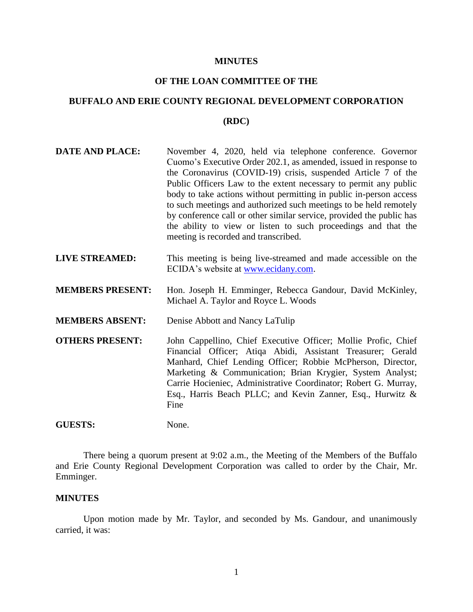#### **MINUTES**

# **OF THE LOAN COMMITTEE OF THE**

# **BUFFALO AND ERIE COUNTY REGIONAL DEVELOPMENT CORPORATION**

#### **(RDC)**

| <b>DATE AND PLACE:</b> | November 4, 2020, held via telephone conference. Governor            |
|------------------------|----------------------------------------------------------------------|
|                        | Cuomo's Executive Order 202.1, as amended, issued in response to     |
|                        | the Coronavirus (COVID-19) crisis, suspended Article 7 of the        |
|                        | Public Officers Law to the extent necessary to permit any public     |
|                        | body to take actions without permitting in public in-person access   |
|                        | to such meetings and authorized such meetings to be held remotely    |
|                        | by conference call or other similar service, provided the public has |
|                        | the ability to view or listen to such proceedings and that the       |
|                        | meeting is recorded and transcribed.                                 |

- **LIVE STREAMED:** This meeting is being live-streamed and made accessible on the ECIDA's website at [www.ecidany.com.](http://www.ecidany.com/)
- **MEMBERS PRESENT:** Hon. Joseph H. Emminger, Rebecca Gandour, David McKinley, Michael A. Taylor and Royce L. Woods
- **MEMBERS ABSENT:** Denise Abbott and Nancy LaTulip
- **OTHERS PRESENT:** John Cappellino, Chief Executive Officer; Mollie Profic, Chief Financial Officer; Atiqa Abidi, Assistant Treasurer; Gerald Manhard, Chief Lending Officer; Robbie McPherson, Director, Marketing & Communication; Brian Krygier, System Analyst; Carrie Hocieniec, Administrative Coordinator; Robert G. Murray, Esq., Harris Beach PLLC; and Kevin Zanner, Esq., Hurwitz & Fine

GUESTS: None.

There being a quorum present at 9:02 a.m., the Meeting of the Members of the Buffalo and Erie County Regional Development Corporation was called to order by the Chair, Mr. Emminger.

#### **MINUTES**

Upon motion made by Mr. Taylor, and seconded by Ms. Gandour, and unanimously carried, it was: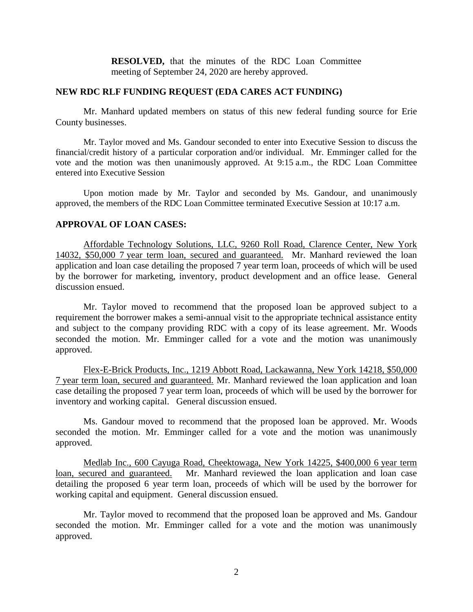**RESOLVED,** that the minutes of the RDC Loan Committee meeting of September 24, 2020 are hereby approved.

#### **NEW RDC RLF FUNDING REQUEST (EDA CARES ACT FUNDING)**

Mr. Manhard updated members on status of this new federal funding source for Erie County businesses.

Mr. Taylor moved and Ms. Gandour seconded to enter into Executive Session to discuss the financial/credit history of a particular corporation and/or individual. Mr. Emminger called for the vote and the motion was then unanimously approved. At 9:15 a.m., the RDC Loan Committee entered into Executive Session

Upon motion made by Mr. Taylor and seconded by Ms. Gandour, and unanimously approved, the members of the RDC Loan Committee terminated Executive Session at 10:17 a.m.

#### **APPROVAL OF LOAN CASES:**

Affordable Technology Solutions, LLC, 9260 Roll Road, Clarence Center, New York 14032, \$50,000 7 year term loan, secured and guaranteed. Mr. Manhard reviewed the loan application and loan case detailing the proposed 7 year term loan, proceeds of which will be used by the borrower for marketing, inventory, product development and an office lease. General discussion ensued.

Mr. Taylor moved to recommend that the proposed loan be approved subject to a requirement the borrower makes a semi-annual visit to the appropriate technical assistance entity and subject to the company providing RDC with a copy of its lease agreement. Mr. Woods seconded the motion. Mr. Emminger called for a vote and the motion was unanimously approved.

Flex-E-Brick Products, Inc., 1219 Abbott Road, Lackawanna, New York 14218, \$50,000 7 year term loan, secured and guaranteed. Mr. Manhard reviewed the loan application and loan case detailing the proposed 7 year term loan, proceeds of which will be used by the borrower for inventory and working capital. General discussion ensued.

Ms. Gandour moved to recommend that the proposed loan be approved. Mr. Woods seconded the motion. Mr. Emminger called for a vote and the motion was unanimously approved.

Medlab Inc., 600 Cayuga Road, Cheektowaga, New York 14225, \$400,000 6 year term loan, secured and guaranteed. Mr. Manhard reviewed the loan application and loan case detailing the proposed 6 year term loan, proceeds of which will be used by the borrower for working capital and equipment. General discussion ensued.

Mr. Taylor moved to recommend that the proposed loan be approved and Ms. Gandour seconded the motion. Mr. Emminger called for a vote and the motion was unanimously approved.